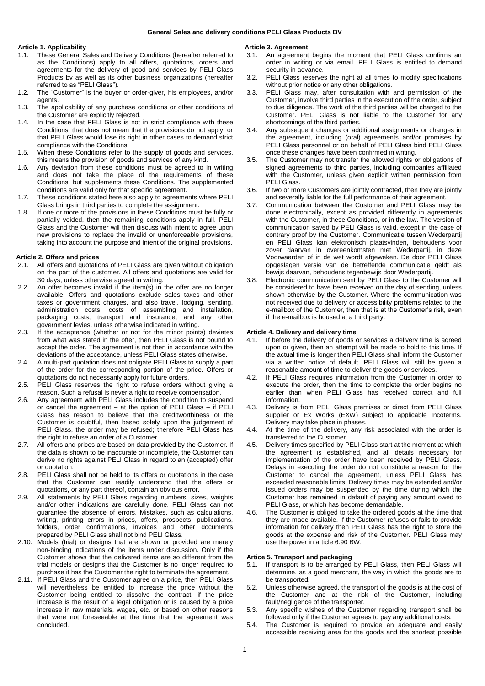## **General Sales and delivery conditions PELI Glass Products BV**

# **Article 1. Applicability**

- 1.1. These General Sales and Delivery Conditions (hereafter referred to as the Conditions) apply to all offers, quotations, orders and agreements for the delivery of good and services by PELI Glass Products bv as well as its other business organizations (hereafter referred to as "PELI Glass").
- 1.2. The "Customer" is the buyer or order-giver, his employees, and/or agents.
- 1.3. The applicability of any purchase conditions or other conditions of the Customer are explicitly rejected.
- 1.4. In the case that PELI Glass is not in strict compliance with these Conditions, that does not mean that the provisions do not apply, or that PELI Glass would lose its right in other cases to demand strict compliance with the Conditions.
- 1.5. When these Conditions refer to the supply of goods and services, this means the provision of goods and services of any kind.
- 1.6. Any deviation from these conditions must be agreed to in writing and does not take the place of the requirements of these Conditions, but supplements these Conditions. The supplemented conditions are valid only for that specific agreement.
- 1.7. These conditions stated here also apply to agreements where PELI Glass brings in third parties to complete the assignment.
- 1.8. If one or more of the provisions in these Conditions must be fully or partially voided, then the remaining conditions apply in full. PELI Glass and the Customer will then discuss with intent to agree upon new provisions to replace the invalid or unenforceable provisions, taking into account the purpose and intent of the original provisions.

### **Article 2. Offers and prices**

- 2.1. All offers and quotations of PELI Glass are given without obligation on the part of the customer. All offers and quotations are valid for 30 days, unless otherwise agreed in writing.
- 2.2. An offer becomes invalid if the item(s) in the offer are no longer available. Offers and quotations exclude sales taxes and other taxes or government charges, and also travel, lodging, sending, administration costs, costs of assembling and installation, packaging costs, transport and insurance, and any other government levies, unless otherwise indicated in writing.
- 2.3. If the acceptance (whether or not for the minor points) deviates from what was stated in the offer, then PELI Glass is not bound to accept the order. The agreement is not then in accordance with the deviations of the acceptance, unless PELI Glass states otherwise.
- 2.4. A multi-part quotation does not obligate PELI Glass to supply a part of the order for the corresponding portion of the price. Offers or quotations do not necessarily apply for future orders.
- 2.5. PELI Glass reserves the right to refuse orders without giving a reason. Such a refusal is never a right to receive compensation.
- 2.6. Any agreement with PELI Glass includes the condition to suspend or cancel the agreement – at the option of PELI Glass – if PELI Glass has reason to believe that the creditworthiness of the Customer is doubtful, then based solely upon the judgement of PELI Glass, the order may be refused; therefore PELI Glass has the right to refuse an order of a Customer.
- 2.7. All offers and prices are based on data provided by the Customer. If the data is shown to be inaccurate or incomplete, the Customer can derive no rights against PELI Glass in regard to an (accepted) offer or quotation.
- 2.8. PELI Glass shall not be held to its offers or quotations in the case that the Customer can readily understand that the offers or quotations, or any part thereof, contain an obvious error.
- 2.9. All statements by PELI Glass regarding numbers, sizes, weights and/or other indications are carefully done. PELI Glass can not guarantee the absence of errors. Mistakes, such as calculations, writing, printing errors in prices, offers, prospects, publications, folders, order confirmations, invoices and other documents prepared by PELI Glass shall not bind PELI Glass.
- 2.10. Models (trial) or designs that are shown or provided are merely non-binding indications of the items under discussion. Only if the Customer shows that the delivered items are so different from the trial models or designs that the Customer is no longer required to purchase it has the Customer the right to terminate the agreement.
- 2.11. If PELI Glass and the Customer agree on a price, then PELI Glass will nevertheless be entitled to increase the price without the Customer being entitled to dissolve the contract, if the price increase is the result of a legal obligation or is caused by a price increase in raw materials, wages, etc. or based on other reasons that were not foreseeable at the time that the agreement was concluded.

## **Article 3. Agreement**

- 3.1. An agreement begins the moment that PELI Glass confirms an order in writing or via email. PELI Glass is entitled to demand security in advance.
- 3.2. PELI Glass reserves the right at all times to modify specifications without prior notice or any other obligations.
- 3.3. PELI Glass may, after consultation with and permission of the Customer, involve third parties in the execution of the order, subject to due diligence. The work of the third parties will be charged to the Customer. PELI Glass is not liable to the Customer for any shortcomings of the third parties.
- 3.4. Any subsequent changes or additional assignments or changes in the agreement, including (oral) agreements and/or promises by PELI Glass personnel or on behalf of PELI Glass bind PELI Glass once these changes have been confirmed in writing.
- 3.5. The Customer may not transfer the allowed rights or obligations of signed agreements to third parties, including companies affiliated with the Customer, unless given explicit written permission from PELI Glass.
- 3.6. If two or more Customers are jointly contracted, then they are jointly and severally liable for the full performance of their agreement.
- 3.7. Communication between the Customer and PELI Glass may be done electronically, except as provided differently in agreements with the Customer, in these Conditions, or in the law. The version of communication saved by PELI Glass is valid, except in the case of contrary proof by the Customer. Communicatie tussen Wederpartij en PELI Glass kan elektronisch plaatsvinden, behoudens voor zover daarvan in overeenkomsten met Wederpartij, in deze Voorwaarden of in de wet wordt afgeweken. De door PELI Glass opgeslagen versie van de betreffende communicatie geldt als bewijs daarvan, behoudens tegenbewijs door Wederpartij.
- 3.8. Electronic communication sent by PELI Glass to the Customer will be considered to have been received on the day of sending, unless shown otherwise by the Customer. Where the communication was not received due to delivery or accessibility problems related to the e-mailbox of the Customer, then that is at the Customer's risk, even if the e-mailbox is housed at a third party.

### **Article 4. Delivery and delivery time**

- 4.1. If before the delivery of goods or services a delivery time is agreed upon or given, then an attempt will be made to hold to this time. If the actual time is longer then PELI Glass shall inform the Customer via a written notice of default. PELI Glass will still be given a reasonable amount of time to deliver the goods or services.
- 4.2. If PELI Glass requires information from the Customer in order to execute the order, then the time to complete the order begins no earlier than when PELI Glass has received correct and full information.
- 4.3. Delivery is from PELI Glass premises or direct from PELI Glass supplier or Ex Works (EXW) subject to applicable Incoterms. Delivery may take place in phases.
- 4.4. At the time of the delivery, any risk associated with the order is transferred to the Customer.
- 4.5. Delivery times specified by PELI Glass start at the moment at which the agreement is established, and all details necessary for implementation of the order have been received by PELI Glass. Delays in executing the order do not constitute a reason for the Customer to cancel the agreement, unless PELI Glass has exceeded reasonable limits. Delivery times may be extended and/or issued orders may be suspended by the time during which the Customer has remained in default of paying any amount owed to PELI Glass, or which has become demandable.
- 4.6. The Customer is obliged to take the ordered goods at the time that they are made available. If the Customer refuses or fails to provide information for delivery then PELI Glass has the right to store the goods at the expense and risk of the Customer. PELI Glass may use the power in article 6:90 BW.

### **Artice 5. Transport and packaging**

- 5.1. If transport is to be arranged by PELI Glass, then PELI Glass will determine, as a good merchant, the way in which the goods are to be transported.
- 5.2. Unless otherwise agreed, the transport of the goods is at the cost of the Customer and at the risk of the Customer, including fault/negligence of the transporter.
- 5.3. Any specific wishes of the Customer regarding transport shall be followed only if the Customer agrees to pay any additional costs.
- 5.4. The Customer is required to provide an adequate and easily accessible receiving area for the goods and the shortest possible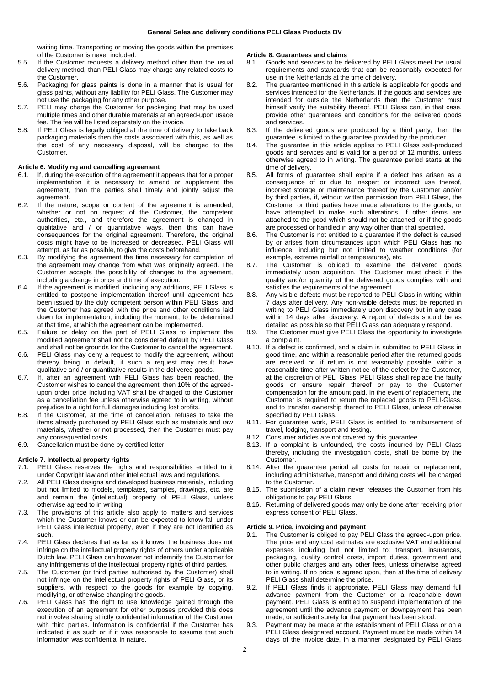waiting time. Transporting or moving the goods within the premises of the Customer is never included.

- 5.5. If the Customer requests a delivery method other than the usual delivery method, than PELI Glass may charge any related costs to the Customer.
- 5.6. Packaging for glass paints is done in a manner that is usual for glass paints, without any liability for PELI Glass. The Customer may not use the packaging for any other purpose.
- 5.7. PELI may charge the Customer for packaging that may be used multiple times and other durable materials at an agreed-upon usage fee. The fee will be listed separately on the invoice.
- 5.8. If PELI Glass is legally obliged at the time of delivery to take back packaging materials then the costs associated with this, as well as the cost of any necessary disposal, will be charged to the Customer.

## **Article 6. Modifying and cancelling agreement**

- 6.1. If, during the execution of the agreement it appears that for a proper implementation it is necessary to amend or supplement the agreement, than the parties shall timely and jointly adjust the agreement.
- 6.2. If the nature, scope or content of the agreement is amended, whether or not on request of the Customer, the competent authorities, etc., and therefore the agreement is changed in qualitative and / or quantitative ways, then this can have consequences for the original agreement. Therefore, the original costs might have to be increased or decreased. PELI Glass will attempt, as far as possible, to give the costs beforehand.
- 6.3. By modifying the agreement the time necessary for completion of the agreement may change from what was originally agreed. The Customer accepts the possibility of changes to the agreement, including a change in price and time of execution.
- 6.4. If the agreement is modified, including any additions, PELI Glass is entitled to postpone implementation thereof until agreement has been issued by the duly competent person within PELI Glass, and the Customer has agreed with the price and other conditions laid down for implementation, including the moment, to be determined at that time, at which the agreement can be implemented.
- 6.5. Failure or delay on the part of PELI Glass to implement the modified agreement shall not be considered default by PELI Glass and shall not be grounds for the Customer to cancel the agreement.
- 6.6. PELI Glass may deny a request to modify the agreement, without thereby being in default, if such a request may result have qualitative and / or quantitative results in the delivered goods.
- 6.7. If, after an agreement with PELI Glass has been reached, the Customer wishes to cancel the agreement, then 10% of the agreedupon order price including VAT shall be charged to the Customer as a cancellation fee unless otherwise agreed to in writing, without prejudice to a right for full damages including lost profits.
- 6.8. If the Customer, at the time of cancellation, refuses to take the items already purchased by PELI Glass such as materials and raw materials, whether or not processed, then the Customer must pay any consequential costs.
- 6.9. Cancellation must be done by certified letter.

## **Article 7. Intellectual property rights**

- 7.1. PELI Glass reserves the rights and responsibilities entitled to it under Copyright law and other intellectual laws and regulations.
- 7.2. All PELI Glass designs and developed business materials, including but not limited to models, templates, samples, drawings, etc. are and remain the (intellectual) property of PELI Glass, unless otherwise agreed to in writing.
- 7.3. The provisions of this article also apply to matters and services which the Customer knows or can be expected to know fall under PELI Glass intellectual property, even if they are not identified as such.
- 7.4. PELI Glass declares that as far as it knows, the business does not infringe on the intellectual property rights of others under applicable Dutch law. PELI Glass can however not indemnify the Customer for any infringements of the intellectual property rights of third parties.
- 7.5. The Customer (or third parties authorised by the Customer) shall not infringe on the intellectual property rights of PELI Glass, or its suppliers, with respect to the goods for example by copying, modifying, or otherwise changing the goods.
- 7.6. PELI Glass has the right to use knowledge gained through the execution of an agreement for other purposes provided this does not involve sharing strictly confidential information of the Customer with third parties. Information is confidential if the Customer has indicated it as such or if it was reasonable to assume that such information was confidential in nature.

#### **Article 8. Guarantees and claims**

- 8.1. Goods and services to be delivered by PELI Glass meet the usual requirements and standards that can be reasonably expected for use in the Netherlands at the time of delivery.
- 8.2. The guarantee mentioned in this article is applicable for goods and services intended for the Netherlands. If the goods and services are intended for outside the Netherlands then the Customer must himself verify the suitability thereof. PELI Glass can, in that case, provide other guarantees and conditions for the delivered goods and services.
- 8.3. If the delivered goods are produced by a third party, then the guarantee is limited to the guarantee provided by the producer.
- 8.4. The quarantee in this article applies to PELI Glass self-produced goods and services and is valid for a period of 12 months, unless otherwise agreed to in writing. The guarantee period starts at the time of delivery.
- 8.5. All forms of guarantee shall expire if a defect has arisen as a consequence of or due to inexpert or incorrect use thereof, incorrect storage or maintenance thereof by the Customer and/or by third parties, if, without written permission from PELI Glass, the Customer or third parties have made alterations to the goods, or have attempted to make such alterations, if other items are attached to the good which should not be attached, or if the goods are processed or handled in any way other than that specified.
- 8.6. The Customer is not entitled to a guarantee if the defect is caused by or arises from circumstances upon which PELI Glass has no influence, including but not limited to weather conditions (for example, extreme rainfall or temperatures), etc.
- 8.7. The Customer is obliged to examine the delivered goods immediately upon acquisition. The Customer must check if the quality and/or quantity of the delivered goods complies with and satisfies the requirements of the agreement.
- 8.8. Any visible defects must be reported to PELI Glass in writing within 7 days after delivery. Any non-visible defects must be reported in writing to PELI Glass immediately upon discovery but in any case within 14 days after discovery. A report of defects should be as detailed as possible so that PELI Glass can adequately respond.
- 8.9. The Customer must give PELI Glass the opportunity to investigate a complaint.
- 8.10. If a defect is confirmed, and a claim is submitted to PELI Glass in good time, and within a reasonable period after the returned goods are received or, if return is not reasonably possible, within a reasonable time after written notice of the defect by the Customer, at the discretion of PELI Glass, PELI Glass shall replace the faulty goods or ensure repair thereof or pay to the Customer compensation for the amount paid. In the event of replacement, the Customer is required to return the replaced goods to PELI-Glass, and to transfer ownership thereof to PELI Glass, unless otherwise specified by PELI Glass.
- 8.11. For guarantee work, PELI Glass is entitled to reimbursement of travel, lodging, transport and testing.
- 8.12. Consumer articles are not covered by this guarantee.
- 8.13. If a complaint is unfounded, the costs incurred by PELI Glass thereby, including the investigation costs, shall be borne by the Customer.
- 8.14. After the guarantee period all costs for repair or replacement, including administrative, transport and driving costs will be charged to the Customer.
- 8.15. The submission of a claim never releases the Customer from his obligations to pay PELI Glass.
- 8.16. Returning of delivered goods may only be done after receiving prior express consent of PELI Glass.

#### **Article 9. Price, invoicing and payment**

- The Customer is obliged to pay PELI Glass the agreed-upon price. The price and any cost estimates are exclusive VAT and additional expenses including but not limited to: transport, insurances, packaging, quality control costs, import duties, government and other public charges and any other fees, unless otherwise agreed to in writing. If no price is agreed upon, then at the time of delivery PELI Glass shall determine the price.
- 9.2. If PELI Glass finds it appropriate, PELI Glass may demand full advance payment from the Customer or a reasonable down payment. PELI Glass is entitled to suspend implementation of the agreement until the advance payment or downpayment has been made, or sufficient surety for that payment has been stood.
- 9.3. Payment may be made at the establishment of PELI Glass or on a PELI Glass designated account. Payment must be made within 14 days of the invoice date, in a manner designated by PELI Glass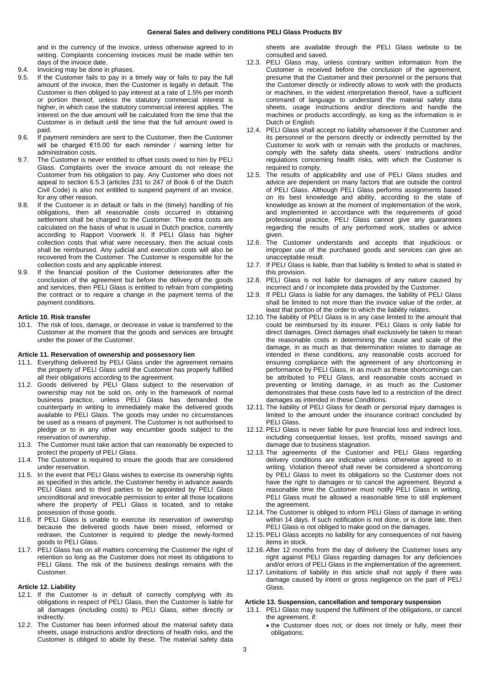and in the currency of the invoice, unless otherwise agreed to in writing. Complaints concerning invoices must be made within ten days of the invoice date.

- 9.4. Invoicing may be done in phases.
- 9.5. If the Customer fails to pay in a timely way or fails to pay the full amount of the invoice, then the Customer is legally in default. The Customer is then obliged to pay interest at a rate of 1.5% per month or portion thereof, unless the statutory commercial interest is higher, in which case the statutory commercial interest applies. The interest on the due amount will be calculated from the time that the Customer is in default until the time that the full amount owed is paid.
- 9.6. If payment reminders are sent to the Customer, then the Customer will be charged  $€15.00$  for each reminder / warning letter for administration costs.
- 9.7. The Customer is never entitled to offset costs owed to him by PELI Glass. Complaints over the invoice amount do not release the Customer from his obligation to pay. Any Customer who does not appeal to section 6.5.3 (articles 231 to 247 of Book 6 of the Dutch Civil Code) is also not entitled to suspend payment of an invoice, for any other reason.
- 9.8. If the Customer is in default or fails in the (timely) handling of his obligations, then all reasonable costs occurred in obtaining settlement shall be charged to the Customer. The extra costs are calculated on the basis of what is usual in Dutch practice, currently according to Rapport Voorwerk II. If PELI Glass has higher collection costs that what were necessary, then the actual costs shall be reimbursed. Any judicial and execution costs will also be recovered from the Customer. The Customer is responsible for the collection costs and any applicable interest.
- 9.9. If the financial position of the Customer deteriorates after the conclusion of the agreement but before the delivery of the goods and services, then PELI Glass is entitled to refrain from completing the contract or to require a change in the payment terms of the payment conditions.

### **Article 10. Risk transfer**

10.1. The risk of loss, damage, or decrease in value is transferred to the Customer at the moment that the goods and services are brought under the power of the Customer.

# **Article 11. Reservation of ownership and possessory lien**

- 11.1. Everything delivered by PELI Glass under the agreement remains the property of PELI Glass until the Customer has properly fulfilled all their obligations according to the agreement.
- 11.2. Goods delivered by PELI Glass subject to the reservation of ownership may not be sold on, only in the framework of normal business practice, unless PELI Glass has demanded the counterparty in writing to immediately make the delivered goods available to PELI Glass. The goods may under no circumstances be used as a means of payment. The Customer is not authorised to pledge or to in any other way encumber goods subject to the reservation of ownership.
- 11.3. The Customer must take action that can reasonably be expected to protect the property of PELI Glass.
- 11.4. The Customer is required to insure the goods that are considered under reservation.
- 11.5. In the event that PELI Glass wishes to exercise its ownership rights as specified in this article, the Customer hereby in advance awards PELI Glass and to third parties to be appointed by PELI Glass unconditional and irrevocable permission to enter all those locations where the property of PELI Glass is located, and to retake possession of those goods.
- 11.6. If PELI Glass is unable to exercise its reservation of ownership because the delivered goods have been mixed, reformed or redrawn, the Customer is required to pledge the newly-formed goods to PELI Glass.
- 11.7. PELI Glass has on all matters concerning the Customer the right of retention so long as the Customer does not meet its obligations to PELI Glass. The risk of the business dealings remains with the Customer.

## **Article 12. Liability**

- 12.1. If the Customer is in default of correctly complying with its obligations in respect of PELI Glass, then the Customer is liable for all damages (including costs) to PELI Glass, either directly or indirectly.
- 12.2. The Customer has been informed about the material safety data sheets, usage instructions and/or directions of health risks, and the Customer is obliged to abide by these. The material safety data

sheets are available through the PELI Glass website to be consulted and saved.

- 12.3. PELI Glass may, unless contrary written information from the Customer is received before the conclusion of the agreement, presume that the Customer and their personnel or the persons that the Customer directly or indirectly allows to work with the products or machines, in the widest interpretation thereof, have a sufficient command of language to understand the material safety data sheets, usage instructions and/or directions and handle the machines or products accordingly, as long as the information is in Dutch or English.
- 12.4. PELI Glass shall accept no liability whatsoever if the Customer and its personnel or the persons directly or indirectly permitted by the Customer to work with or remain with the products or machines, comply with the safety data sheets, users' instructions and/or regulations concerning health risks, with which the Customer is required to comply.
- 12.5. The results of applicability and use of PELI Glass studies and advice are dependent on many factors that are outside the control of PELI Glass. Although PELI Glass performs assignments based on its best knowledge and ability, according to the state of knowledge as known at the moment of implementation of the work, and implemented in accordance with the requirements of good professional practice, PELI Glass cannot give any guarantees regarding the results of any performed work, studies or advice given.
- 12.6. The Customer understands and accepts that injudicious or improper use of the purchased goods and services can give an unacceptable result.
- 12.7. If PELI Glass is liable, than that liability is limited to what is stated in this provision.
- 12.8. PELI Glass is not liable for damages of any nature caused by incorrect and / or incomplete data provided by the Customer.
- 12.9. If PELI Glass is liable for any damages, the liability of PELI Glass shall be limited to not more than the invoice value of the order, at least that portion of the order to which the liability relates.
- 12.10. The liability of PELI Glass is in any case limited to the amount that could be reimbursed by its insurer. PELI Glass is only liable for direct damages. Direct damages shall exclusively be taken to mean the reasonable costs in determining the cause and scale of the damage, in as much as that determination relates to damage as intended in these conditions, any reasonable costs accrued for ensuring compliance with the agreement of any shortcoming in performance by PELI Glass, in as much as these shortcomings can be attributed to PELI Glass, and reasonable costs accrued in preventing or limiting damage, in as much as the Customer demonstrates that these costs have led to a restriction of the direct damages as intended in these Conditions.
- 12.11. The liability of PELI Glass for death or personal injury damages is limited to the amount under the insurance contract concluded by PELI Glass.
- 12.12. PELI Glass is never liable for pure financial loss and indirect loss, including consequential losses, lost profits, missed savings and damage due to business stagnation.
- 12.13. The agreements of the Customer and PELI Glass regarding delivery conditions are indicative unless otherwise agreed to in writing. Violation thereof shall never be considered a shortcoming by PELI Glass to meet its obligations so the Customer does not have the right to damages or to cancel the agreement. Beyond a reasonable time the Customer must notify PELI Glass in writing. PELI Glass must be allowed a reasonable time to still implement the agreement.
- 12.14. The Customer is obliged to inform PELI Glass of damage in writing within 14 days. If such notification is not done, or is done late, then PELI Glass is not obliged to make good on the damages.
- 12.15. PELI Glass accepts no liability for any consequences of not having items in stock.
- 12.16. After 12 months from the day of delivery the Customer loses any right against PELI Glass regarding damages for any deficiencies and/or errors of PELI Glass in the implementation of the agreement.
- 12.17. Limitations of liability in this article shall not apply if there was damage caused by intent or gross negligence on the part of PELI Glass.

# **Article 13. Suspension, cancellation and temporary suspension**

- 13.1. PELI Glass may suspend the fulfilment of the obligations, or cancel the agreement, if:
	- the Customer does not, or does not timely or fully, meet their obligations;